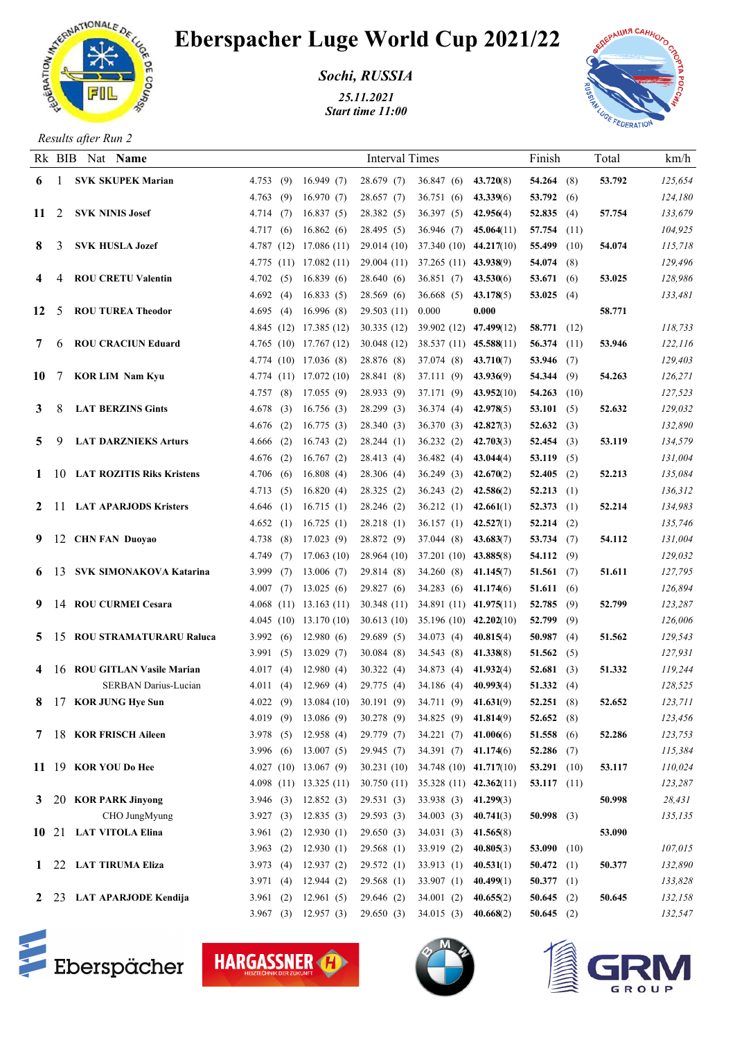

## Eberspacher Luge World Cup 2021/22

*Sochi, RUSSIA*

*25.11.2021 Start time 11:00*



*Results after Run 2*

|    |          | Rk BIB Nat Name                 |                         |     |                            | <b>Interval Times</b>                                     |                                     |                        | Finish                        |     | Total  | km/h               |
|----|----------|---------------------------------|-------------------------|-----|----------------------------|-----------------------------------------------------------|-------------------------------------|------------------------|-------------------------------|-----|--------|--------------------|
| 6  | - 1      | <b>SVK SKUPEK Marian</b>        | 4.753(9)                |     | 16.949(7)                  | 28.679(7)                                                 | $36.847(6)$ $43.720(8)$             |                        | $54.264$ (8)                  |     | 53.792 | 125,654            |
|    |          |                                 | 4.763                   | (9) | 16.970(7)                  | 28.657(7)                                                 | 36.751 (6)                          | 43.339(6)              | 53.792 $(6)$                  |     |        | 124,180            |
|    | 11 2     | <b>SVK NINIS Josef</b>          | 4.714(7)                |     | 16.837(5)                  | 28.382 (5)                                                | 36.397(5)                           | 42.956(4)              | 52.835 $(4)$                  |     | 57.754 | 133,679            |
|    |          |                                 | 4.717(6)                |     | 16.862(6)                  | 28.495 (5)                                                | 36.946 (7)                          | 45.064(11)             | 57.754 $(11)$                 |     |        | 104,925            |
| 8  | 3        | <b>SVK HUSLA Jozef</b>          |                         |     | 4.787(12)17.086(11)        | 29.014(10)                                                | $37.340(10)$ 44.217(10)             |                        | 55.499 (10)                   |     | 54.074 | 115,718            |
|    |          |                                 |                         |     | $4.775$ (11) 17.082 (11)   |                                                           | 29.004 (11) 37.265 (11) 43.938(9)   |                        | 54.074 $(8)$                  |     |        | 129,496            |
|    |          | <b>ROU CRETU Valentin</b>       | 4.702(5)                |     | 16.839(6)                  | 28.640(6)                                                 | 36.851 (7)                          | 43.530(6)              | 53.671 $(6)$                  |     | 53.025 | 128,986            |
|    |          |                                 | 4.692(4)                |     | 16.833(5)                  | 28.569(6)                                                 | 36.668(5)                           | 43.178(5)              | 53.025 (4)                    |     |        | 133,481            |
| 12 | 5        | <b>ROU TUREA Theodor</b>        | 4.695 $(4)$             |     | 16.996(8)                  | 29.503(11)                                                | 0.000                               | 0.000                  |                               |     | 58.771 |                    |
|    |          |                                 |                         |     | 4.845 (12) 17.385 (12)     | 30.335(12)                                                | 39.902 (12) 47.499(12)              |                        | 58.771 (12)                   |     |        | 118,733            |
| 7  | 6        | <b>ROU CRACIUN Eduard</b>       |                         |     | $4.765$ (10) 17.767 (12)   | 30.048(12)                                                | 38.537 (11) 45.588(11)              |                        | 56.374 $(11)$                 |     | 53.946 | 122,116            |
|    |          |                                 |                         |     | 4.774 (10) 17.036 (8)      | 28.876 (8)                                                | 37.074 (8)                          | 43.710(7)              | 53.946 $(7)$                  |     |        | 129,403            |
| 10 | -7       | <b>KOR LIM Nam Kyu</b>          |                         |     | 4.774 $(11)$ 17.072 $(10)$ | 28.841 (8)                                                | 37.111 (9)                          | 43.936(9)              | 54.344 $(9)$                  |     | 54.263 | 126,271            |
|    |          |                                 | 4.757(8)                |     | 17.055(9)                  | 28.933 (9)                                                | 37.171 (9)                          | 43.952(10)             | 54.263 $(10)$                 |     |        | 127,523            |
| 3  | 8        | <b>LAT BERZINS Gints</b>        | 4.678                   | (3) | 16.756(3)                  | 28.299(3)                                                 | 36.374 (4)                          | 42.978(5)              | 53.101 $(5)$                  |     | 52.632 | 129,032            |
|    |          |                                 | 4.676(2)                |     | 16.775(3)                  | 28.340(3)                                                 | 36.370 (3)                          | 42.827(3)              | 52.632 (3)                    |     |        | 132,890            |
| 5  | 9        | <b>LAT DARZNIEKS Arturs</b>     | 4.666(2)                |     | 16.743(2)                  | 28.244(1)                                                 | 36.232(2)                           | 42.703(3)              | 52.454 $(3)$                  |     | 53.119 | 134,579            |
|    |          | 1 10 LAT ROZITIS Riks Kristens  | 4.676(2)<br>4.706(6)    |     | 16.767(2)<br>16.808(4)     | 28.413 (4)<br>28.306 (4)                                  | 36.482(4)<br>36.249(3)              | 43.044(4)<br>42.670(2) | 53.119 $(5)$<br>52.405 $(2)$  |     | 52.213 | 131,004<br>135,084 |
|    |          |                                 | 4.713 $(5)$             |     | 16.820(4)                  | 28.325 (2)                                                | 36.243(2)                           | 42.586(2)              | $52.213$ (1)                  |     |        | 136,312            |
|    | $2 \cup$ | <b>LAT APARJODS Kristers</b>    | 4.646(1)                |     | 16.715(1)                  | 28.246 (2)                                                | $36.212(1)$ $42.661(1)$             |                        | 52.373 $(1)$                  |     | 52.214 | 134,983            |
|    |          |                                 | 4.652(1)                |     | 16.725(1)                  | 28.218(1)                                                 | $36.157(1)$ $42.527(1)$             |                        | $52.214$ (2)                  |     |        | 135,746            |
|    |          | 9 12 CHN FAN Duoyao             | 4.738(8)                |     | 17.023(9)                  | 28.872 (9)                                                | 37.044 (8)                          | 43.683(7)              | 53.734 $(7)$                  |     | 54.112 | 131,004            |
|    |          |                                 | 4.749                   | (7) | 17.063(10)                 | 28.964 (10)                                               | 37.201 (10) 43.885(8)               |                        | 54.112 $(9)$                  |     |        | 129,032            |
|    |          | 6 13 SVK SIMONAKOVA Katarina    | 3.999(7)                |     | 13.006(7)                  | 29.814(8)                                                 | $34.260(8)$ 41.145(7)               |                        | 51.561 $(7)$                  |     | 51.611 | 127,795            |
|    |          |                                 | 4.007(7)                |     | 13.025(6)                  | 29.827(6)                                                 | 34.283 (6) 41.174(6)                |                        | 51.611 (6)                    |     |        | 126,894            |
|    |          | 9 14 ROU CURMEI Cesara          |                         |     | $4.068$ (11) 13.163 (11)   | 30.348(11)                                                | 34.891 (11) 41.975(11)              |                        | 52.785 $(9)$                  |     | 52.799 | 123,287            |
|    |          |                                 |                         |     | 4.045(10)13.170(10)        | 30.613(10)                                                | $35.196(10)$ 42.202(10)             |                        | 52.799 $(9)$                  |     |        | 126,006            |
| 5. |          | 15 ROU STRAMATURARU Raluca      | 3.992(6)                |     | 12.980(6)                  | 29.689(5)                                                 | 34.073 (4)                          | 40.815(4)              | 50.987                        | (4) | 51.562 | 129,543            |
|    |          |                                 | 3.991(5)                |     | 13.029(7)                  | 30.084(8)                                                 | 34.543 (8) 41.338(8)                |                        | 51.562 $(5)$                  |     |        | 127,931            |
|    | 4 16     | <b>ROU GITLAN Vasile Marian</b> | 4.017(4)                |     | 12.980(4)                  | 30.322(4)                                                 | 34.873 (4) $41.932(4)$              |                        | 52.681 $(3)$                  |     | 51.332 | 119,244            |
|    |          | <b>SERBAN Darius-Lucian</b>     | 4.011(4)                |     | 12.969(4)                  | 29.775(4)                                                 | 34.186 (4) $40.993(4)$              |                        | 51.332 $(4)$                  |     |        | 128,525            |
| 8  |          | 17 KOR JUNG Hye Sun             |                         |     |                            | 4.022 (9) 13.084 (10) 30.191 (9) 34.711 (9) 41.631(9)     |                                     |                        | 52.251(8)                     |     | 52.652 | 123,711            |
|    |          |                                 |                         |     | 4.019 (9) 13.086 (9)       | 30.278(9)                                                 | 34.825 (9) 41.814(9)                |                        | 52.652 $(8)$                  |     |        | 123,456            |
|    |          | 7 18 KOR FRISCH Aileen          | 3.978(5)                |     | 12.958(4)                  | 29.779 (7)                                                | $34.221(7)$ 41.006(6)               |                        | 51.558 $(6)$                  |     | 52.286 | 123,753            |
|    |          |                                 |                         |     | $3.996$ (6) $13.007$ (5)   | 29.945(7)                                                 | 34.391 (7) 41.174(6)                |                        | 52.286 $(7)$                  |     |        | 115,384            |
|    |          | 11 19 KOR YOU Do Hee            |                         |     | 4.027(10)13.067(9)         | 30.231(10)                                                | 34.748 (10) 41.717(10)              |                        | 53.291 $(10)$                 |     | 53.117 | 110,024            |
|    |          |                                 |                         |     |                            | 4.098 (11) 13.325 (11) 30.750 (11) 35.328 (11) 42.362(11) |                                     |                        | 53.117 $(11)$                 |     |        | 123,287            |
|    |          | 3 20 KOR PARK Jinyong           | 3.946(3)                |     | 12.852(3)                  | 29.531(3)                                                 | $33.938(3)$ 41.299(3)               |                        |                               |     | 50.998 | 28,431             |
|    |          | CHO JungMyung                   | 3.927(3)                |     | 12.835(3)                  | 29.593(3)                                                 | $34.003$ (3) $40.741(3)$            |                        | 50.998 (3)                    |     |        | 135,135            |
|    |          | 10 21 LAT VITOLA Elina          | 3.961 $(2)$             |     | 12.930(1)                  | 29.650(3)                                                 | 34.031 (3) 41.565(8)                |                        |                               |     | 53.090 |                    |
|    |          | 1 22 LAT TIRUMA Eliza           | 3.963 $(2)$<br>3.973(4) |     | 12.930(1)<br>12.937(2)     | 29.568(1)<br>29.572(1)                                    | 33.919(2)<br>33.913 (1) $40.531(1)$ | 40.805(3)              | 53.090 $(10)$<br>50.472 $(1)$ |     | 50.377 | 107,015<br>132,890 |
|    |          |                                 | 3.971(4)                |     | 12.944(2)                  | 29.568(1)                                                 | 33.907 (1) $40.499(1)$              |                        | 50.377 $(1)$                  |     |        | 133,828            |
|    |          | 2 23 LAT APARJODE Kendija       | 3.961(2)                |     | 12.961(5)                  | 29.646 (2)                                                | 34.001(2)                           | 40.655(2)              | 50.645 $(2)$                  |     | 50.645 | 132,158            |
|    |          |                                 |                         |     | $3.967$ (3) 12.957 (3)     | 29.650 (3) 34.015 (3) 40.668(2)                           |                                     |                        | 50.645 $(2)$                  |     |        | 132,547            |
|    |          |                                 |                         |     |                            |                                                           |                                     |                        |                               |     |        |                    |